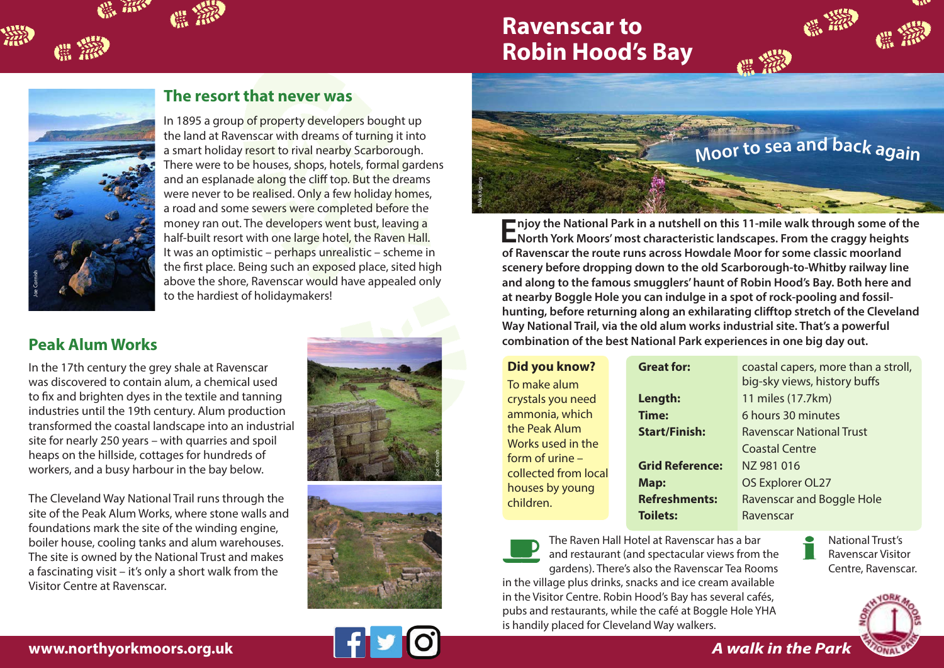## **Ravenscar to Robin Hood's Bay**



臘

## **The resort that never was**

In 1895 a group of property developers bought up the land at Ravenscar with dreams of turning it into a smart holiday resort to rival nearby Scarborough. There were to be houses, shops, hotels, formal gardens and an esplanade along the cliff top. But the dreams were never to be realised. Only a few holiday homes, a road and some sewers were completed before the money ran out. The developers went bust, leaving a half-built resort with one large hotel, the Raven Hall. It was an optimistic – perhaps unrealistic – scheme in the first place. Being such an exposed place, sited high above the shore, Ravenscar would have appealed only to the hardiest of holidaymakers!

## **Peak Alum Works**

In the 17th century the grey shale at Ravenscar was discovered to contain alum, a chemical used to fix and brighten dyes in the textile and tanning industries until the 19th century. Alum production transformed the coastal landscape into an industrial site for nearly 250 years – with quarries and spoil heaps on the hillside, cottages for hundreds of workers, and a busy harbour in the bay below. **Peak Alum Works**<br>**Example 17th century the grey shale at Raw**<br>to the hardies<br>to the hardies<br>to fix and brighten dyes in the textile an<br>industries until the 19th century. Alum p<br>transformed the coastal landscape into a<br>sit

The Cleveland Way National Trail runs through the site of the Peak Alum Works, where stone walls and foundations mark the site of the winding engine, boiler house, cooling tanks and alum warehouses. The site is owned by the National Trust and makes a fascinating visit – it's only a short walk from the Visitor Centre at Ravenscar.









**Enjoy the National Park in a nutshell on this 11-mile walk through some of the North York Moors' most characteristic landscapes. From the craggy heights of Ravenscar the route runs across Howdale Moor for some classic moorland scenery before dropping down to the old Scarborough-to-Whitby railway line and along to the famous smugglers' haunt of Robin Hood's Bay. Both here and at nearby Boggle Hole you can indulge in a spot of rock-pooling and fossilhunting, before returning along an exhilarating clifftop stretch of the Cleveland Way National Trail, via the old alum works industrial site. That's a powerful combination of the best National Park experiences in one big day out.**

| Did you know? |  |  |
|---------------|--|--|
|               |  |  |

To make alum crystals you need ammonia, which the Peak Alum Works used in the form of urine – collected from local houses by young children.

| <b>Great for:</b>      | coastal capers, more than a stroll, |
|------------------------|-------------------------------------|
|                        | big-sky views, history buffs        |
| Length:                | 11 miles (17.7km)                   |
| <b>Time:</b>           | 6 hours 30 minutes                  |
| <b>Start/Finish:</b>   | Ravenscar National Trust            |
|                        | <b>Coastal Centre</b>               |
| <b>Grid Reference:</b> | NZ 981 016                          |
| Map:                   | OS Explorer OL27                    |
| <b>Refreshments:</b>   | Ravenscar and Boggle Hole           |
| <b>Toilets:</b>        | Ravenscar                           |
|                        |                                     |

The Raven Hall Hotel at Ravenscar has a bar and restaurant (and spectacular views from the gardens). There's also the Ravenscar Tea Rooms

in the village plus drinks, snacks and ice cream available in the Visitor Centre. Robin Hood's Bay has several cafés, pubs and restaurants, while the café at Boggle Hole YHA is handily placed for Cleveland Way walkers.